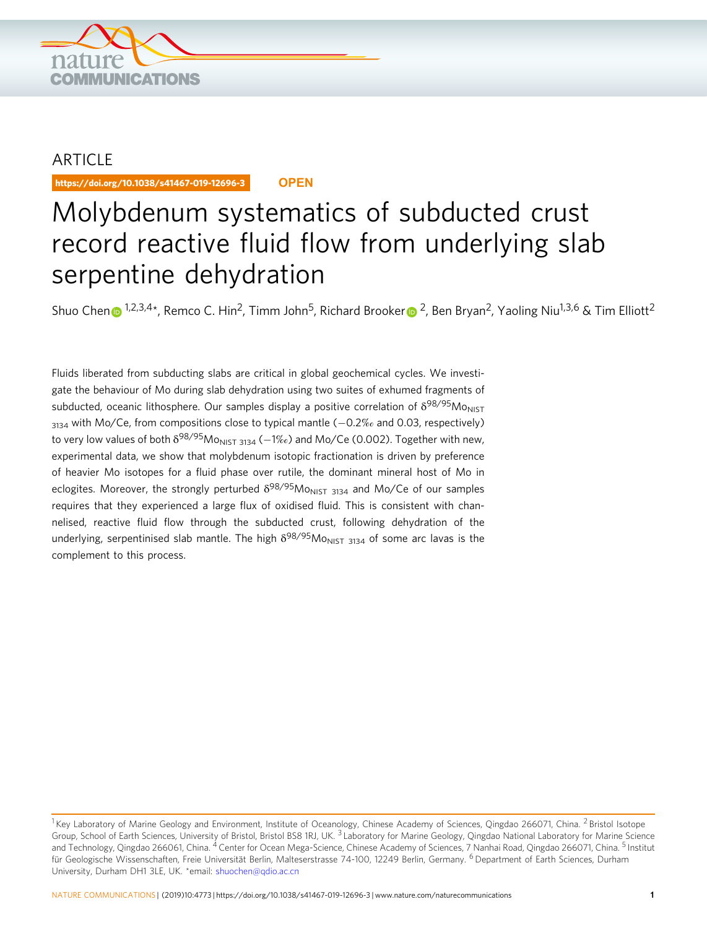

## ARTICLE

https://doi.org/10.1038/s41467-019-12696-3 **OPEN**

# Molybdenum systematics of subducted crust record reactive fluid flow from underlying slab serpentine dehydration

Shuo Che[n](http://orcid.org/0000-0002-8365-2500)  $\odot$  <sup>1,2,3,4\*</sup>, Remco C. Hin<sup>2</sup>, Timm John<sup>5</sup>, Richa[r](http://orcid.org/0000-0003-4931-9912)d Brooker  $\odot$  <sup>[2](http://orcid.org/0000-0003-4931-9912)</sup>, Ben Bryan<sup>2</sup>, Yaoling Niu<sup>1,3,6</sup> & Tim Elliott<sup>2</sup>

Fluids liberated from subducting slabs are critical in global geochemical cycles. We investigate the behaviour of Mo during slab dehydration using two suites of exhumed fragments of subducted, oceanic lithosphere. Our samples display a positive correlation of  $\delta^{98/95}$ Mo<sub>NIST</sub> 3134 with Mo/Ce, from compositions close to typical mantle (−0.2‰ and 0.03, respectively) to very low values of both  $\delta^{98/95}$ Mo<sub>NIST 3134</sub> (−1‰) and Mo/Ce (0.002). Together with new, experimental data, we show that molybdenum isotopic fractionation is driven by preference of heavier Mo isotopes for a fluid phase over rutile, the dominant mineral host of Mo in eclogites. Moreover, the strongly perturbed  $\delta^{98/95}$ Mo<sub>NIST</sub> 3134 and Mo/Ce of our samples requires that they experienced a large flux of oxidised fluid. This is consistent with channelised, reactive fluid flow through the subducted crust, following dehydration of the underlying, serpentinised slab mantle. The high  $\delta^{98/95}M_{ONIST}$  3134 of some arc lavas is the complement to this process.

<sup>&</sup>lt;sup>1</sup> Key Laboratory of Marine Geology and Environment, Institute of Oceanology, Chinese Academy of Sciences, Qingdao 266071, China. <sup>2</sup> Bristol Isotope Group, School of Earth Sciences, University of Bristol, Bristol BS8 1RJ, UK.<sup>3</sup> Laboratory for Marine Geology, Qingdao National Laboratory for Marine Science and Technology, Qingdao 266061, China. <sup>4</sup> Center for Ocean Mega-Science, Chinese Academy of Sciences, 7 Nanhai Road, Qingdao 266071, China. <sup>5</sup> Institut für Geologische Wissenschaften, Freie Universität Berlin, Malteserstrasse 74-100, 12249 Berlin, Germany. <sup>6</sup> Department of Earth Sciences, Durham University, Durham DH1 3LE, UK. \*email: [shuochen@qdio.ac.cn](mailto:shuochen@qdio.ac.cn)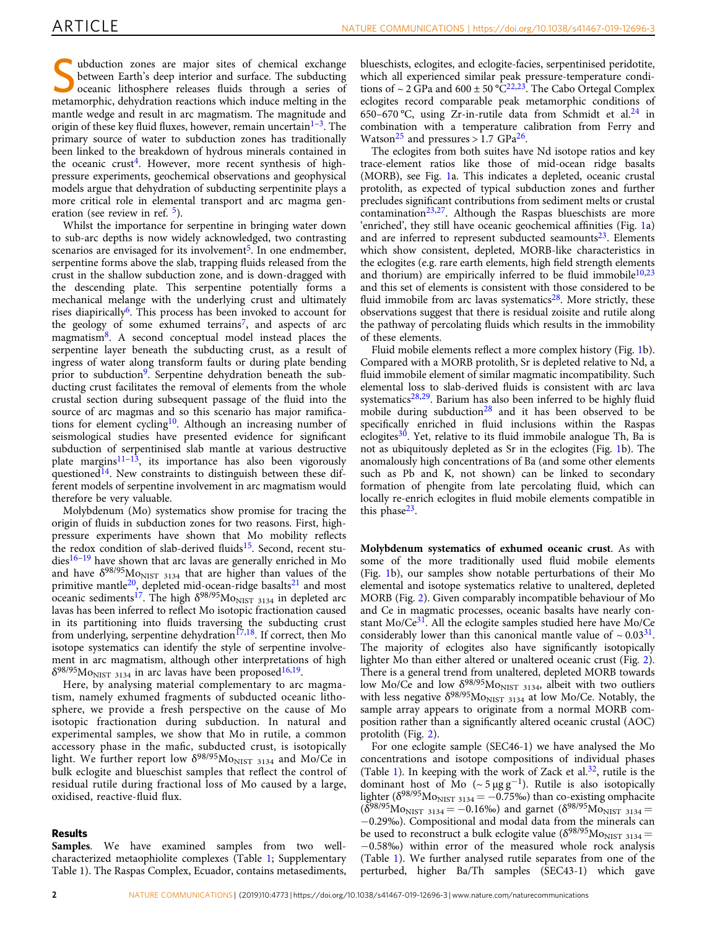ubduction zones are major sites of chemical exchange between Earth's deep interior and surface. The subducting oceanic lithosphere releases fluids through a series of metamorphic, dehydration reactions which induce melting in the mantle wedge and result in arc magmatism. The magnitude and origin of these key fluid fluxes, however, remain uncertain<sup>[1](#page-6-0)–3</sup>. The primary source of water to subduction zones has traditionally been linked to the breakdown of hydrous minerals contained in the oceanic crust<sup>4</sup>. However, more recent synthesis of highpressure experiments, geochemical observations and geophysical models argue that dehydration of subducting serpentinite plays a more critical role in elemental transport and arc magma generation (see review in ref.  $5$ ).

Whilst the importance for serpentine in bringing water down to sub-arc depths is now widely acknowledged, two contrasting scenarios are envisaged for its involvement<sup>[5](#page-6-0)</sup>. In one endmember, serpentine forms above the slab, trapping fluids released from the crust in the shallow subduction zone, and is down-dragged with the descending plate. This serpentine potentially forms a mechanical melange with the underlying crust and ultimately rises diapirically<sup>[6](#page-6-0)</sup>. This process has been invoked to account for the geology of some exhumed terrains<sup>[7](#page-6-0)</sup>, and aspects of arc magmatism<sup>8</sup>. A second conceptual model instead places the serpentine layer beneath the subducting crust, as a result of ingress of water along transform faults or during plate bending prior to subduction<sup>[9](#page-7-0)</sup>. Serpentine dehydration beneath the subducting crust facilitates the removal of elements from the whole crustal section during subsequent passage of the fluid into the source of arc magmas and so this scenario has major ramifications for element cycling<sup>10</sup>. Although an increasing number of seismological studies have presented evidence for significant subduction of serpentinised slab mantle at various destructive plate margins $11-13$  $11-13$ , its importance has also been vigorously questioned<sup>[14](#page-7-0)</sup>. New constraints to distinguish between these different models of serpentine involvement in arc magmatism would therefore be very valuable.

Molybdenum (Mo) systematics show promise for tracing the origin of fluids in subduction zones for two reasons. First, highpressure experiments have shown that Mo mobility reflects the redox condition of slab-derived fluids<sup>[15](#page-7-0)</sup>. Second, recent stu-dies<sup>[16](#page-7-0)-[19](#page-7-0)</sup> have shown that arc lavas are generally enriched in Mo and have  $\delta^{98/95}$ Mo<sub>NIST</sub> 3134 that are higher than values of the primitive mantle<sup>20</sup>, depleted mid-ocean-ridge basalts<sup>21</sup> and most oceanic sediments<sup>[17](#page-7-0)</sup>. The high  $\delta^{98/95}$ Mo<sub>NIST</sub> 3134 in depleted arc lavas has been inferred to reflect Mo isotopic fractionation caused in its partitioning into fluids traversing the subducting crust from underlying, serpentine dehydration $17,18$ . If correct, then Mo isotope systematics can identify the style of serpentine involvement in arc magmatism, although other interpretations of high  $\delta^{98/95}$ Mo<sub>NIST 3134</sub> in arc lavas have been proposed<sup>[16](#page-7-0),[19](#page-7-0)</sup>.

Here, by analysing material complementary to arc magmatism, namely exhumed fragments of subducted oceanic lithosphere, we provide a fresh perspective on the cause of Mo isotopic fractionation during subduction. In natural and experimental samples, we show that Mo in rutile, a common accessory phase in the mafic, subducted crust, is isotopically light. We further report low  $\delta^{98/95}$ Mo<sub>NIST 3134</sub> and Mo/Ce in bulk eclogite and blueschist samples that reflect the control of residual rutile during fractional loss of Mo caused by a large, oxidised, reactive-fluid flux.

### Results

Samples. We have examined samples from two wellcharacterized metaophiolite complexes (Table [1;](#page-2-0) Supplementary Table 1). The Raspas Complex, Ecuador, contains metasediments, blueschists, eclogites, and eclogite-facies, serpentinised peridotite, which all experienced similar peak pressure-temperature conditions of  $\sim 2 \text{ GPa}$  and  $600 \pm 50 \text{ °C}^{22,23}$ . The Cabo Ortegal Complex eclogites record comparable peak metamorphic conditions of 650–670 °C, using Zr-in-rutile data from Schmidt et al.<sup>24</sup> in combination with a temperature calibration from Ferry and Watson<sup>[25](#page-7-0)</sup> and pressures > 1.7 GPa<sup>[26](#page-7-0)</sup>.

The eclogites from both suites have Nd isotope ratios and key trace-element ratios like those of mid-ocean ridge basalts (MORB), see Fig. [1](#page-2-0)a. This indicates a depleted, oceanic crustal protolith, as expected of typical subduction zones and further precludes significant contributions from sediment melts or crustal  $contamination<sup>23,27</sup>$  $contamination<sup>23,27</sup>$  $contamination<sup>23,27</sup>$  $contamination<sup>23,27</sup>$  $contamination<sup>23,27</sup>$ . Although the Raspas blueschists are more 'enriched', they still have oceanic geochemical affinities (Fig. [1](#page-2-0)a) and are inferred to represent subducted seamounts<sup>[23](#page-7-0)</sup>. Elements which show consistent, depleted, MORB-like characteristics in the eclogites (e.g. rare earth elements, high field strength elements and thorium) are empirically inferred to be fluid immobile $10,23$ and this set of elements is consistent with those considered to be fluid immobile from arc lavas systematics $28$ . More strictly, these observations suggest that there is residual zoisite and rutile along the pathway of percolating fluids which results in the immobility of these elements.

Fluid mobile elements reflect a more complex history (Fig. [1b](#page-2-0)). Compared with a MORB protolith, Sr is depleted relative to Nd, a fluid immobile element of similar magmatic incompatibility. Such elemental loss to slab-derived fluids is consistent with arc lava systematics $28,29$ . Barium has also been inferred to be highly fluid mobile during subduction<sup>[28](#page-7-0)</sup> and it has been observed to be specifically enriched in fluid inclusions within the Raspas eclogites $30$ . Yet, relative to its fluid immobile analogue Th, Ba is not as ubiquitously depleted as Sr in the eclogites (Fig. [1b](#page-2-0)). The anomalously high concentrations of Ba (and some other elements such as Pb and K, not shown) can be linked to secondary formation of phengite from late percolating fluid, which can locally re-enrich eclogites in fluid mobile elements compatible in this phase<sup>[23](#page-7-0)</sup>.

Molybdenum systematics of exhumed oceanic crust. As with some of the more traditionally used fluid mobile elements (Fig. [1](#page-2-0)b), our samples show notable perturbations of their Mo elemental and isotope systematics relative to unaltered, depleted MORB (Fig. [2\)](#page-3-0). Given comparably incompatible behaviour of Mo and Ce in magmatic processes, oceanic basalts have nearly constant  $Mo/Ce^{31}$  $Mo/Ce^{31}$  $Mo/Ce^{31}$ . All the eclogite samples studied here have  $Mo/Ce$ considerably lower than this canonical mantle value of  $\sim 0.03^{31}$ . The majority of eclogites also have significantly isotopically lighter Mo than either altered or unaltered oceanic crust (Fig. [2](#page-3-0)). There is a general trend from unaltered, depleted MORB towards low Mo/Ce and low  $\delta^{98/95}$ Mo<sub>NIST 3134</sub>, albeit with two outliers with less negative  $\delta^{98/95}$ Mo<sub>NIST 3134</sub> at low Mo/Ce. Notably, the sample array appears to originate from a normal MORB composition rather than a significantly altered oceanic crustal (AOC) protolith (Fig. [2\)](#page-3-0).

For one eclogite sample (SEC46-1) we have analysed the Mo concentrations and isotope compositions of individual phases (Table [1\)](#page-2-0). In keeping with the work of Zack et al. $32$ , rutile is the dominant host of Mo ( $\sim$  5 µg g<sup>-1</sup>). Rutile is also isotopically lighter ( $\delta^{98/95}$ Mo<sub>NIST 3134</sub> = −0.75‰) than co-existing omphacite  $(\delta^{98/95}Mo_{NIST 3134} = -0.16\%)$  and garnet  $(\delta^{98/95}Mo_{NIST 3134} =$ −0.29‰). Compositional and modal data from the minerals can be used to reconstruct a bulk eclogite value ( $\delta^{98/95}$ Mo<sub>NIST</sub> 3134 = −0.58‰) within error of the measured whole rock analysis (Table [1\)](#page-2-0). We further analysed rutile separates from one of the perturbed, higher Ba/Th samples (SEC43-1) which gave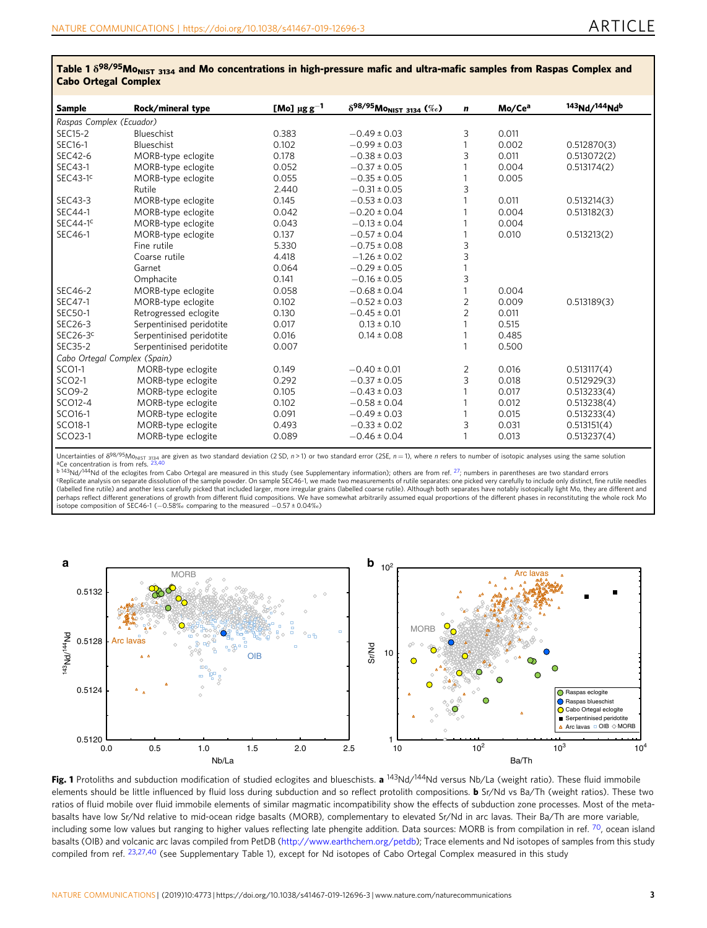| CADO OLIEKAI COMPIEA         |                          |                              |                                               |                |                    |                           |
|------------------------------|--------------------------|------------------------------|-----------------------------------------------|----------------|--------------------|---------------------------|
| <b>Sample</b>                | Rock/mineral type        | [Mo] $\mu$ g g <sup>-1</sup> | $\delta^{98/95}$ Mo <sub>nist 3134</sub> (%o) | n              | Mo/Ce <sup>a</sup> | 143 <sub>Nd/144</sub> Ndb |
| Raspas Complex (Ecuador)     |                          |                              |                                               |                |                    |                           |
| <b>SEC15-2</b>               | Blueschist               | 0.383                        | $-0.49 \pm 0.03$                              | 3              | 0.011              |                           |
| SEC16-1                      | Blueschist               | 0.102                        | $-0.99 \pm 0.03$                              |                | 0.002              | 0.512870(3)               |
| SEC42-6                      | MORB-type eclogite       | 0.178                        | $-0.38 \pm 0.03$                              | 3              | 0.011              | 0.513072(2)               |
| SEC43-1                      | MORB-type eclogite       | 0.052                        | $-0.37 \pm 0.05$                              |                | 0.004              | 0.513174(2)               |
| $SEC43-1c$                   | MORB-type eclogite       | 0.055                        | $-0.35 \pm 0.05$                              |                | 0.005              |                           |
|                              | Rutile                   | 2.440                        | $-0.31 \pm 0.05$                              | 3              |                    |                           |
| SEC43-3                      | MORB-type eclogite       | 0.145                        | $-0.53 \pm 0.03$                              |                | 0.011              | 0.513214(3)               |
| SEC44-1                      | MORB-type eclogite       | 0.042                        | $-0.20 \pm 0.04$                              |                | 0.004              | 0.513182(3)               |
| $SEC44-1c$                   | MORB-type eclogite       | 0.043                        | $-0.13 \pm 0.04$                              |                | 0.004              |                           |
| SEC46-1                      | MORB-type eclogite       | 0.137                        | $-0.57 \pm 0.04$                              |                | 0.010              | 0.513213(2)               |
|                              | Fine rutile              | 5.330                        | $-0.75 \pm 0.08$                              | 3              |                    |                           |
|                              | Coarse rutile            | 4.418                        | $-1.26 \pm 0.02$                              | 3              |                    |                           |
|                              | Garnet                   | 0.064                        | $-0.29 \pm 0.05$                              |                |                    |                           |
|                              | Omphacite                | 0.141                        | $-0.16 \pm 0.05$                              | 3              |                    |                           |
| SEC46-2                      | MORB-type eclogite       | 0.058                        | $-0.68 \pm 0.04$                              |                | 0.004              |                           |
| SEC47-1                      | MORB-type eclogite       | 0.102                        | $-0.52 \pm 0.03$                              | $\overline{2}$ | 0.009              | 0.513189(3)               |
| SEC50-1                      | Retrogressed eclogite    | 0.130                        | $-0.45 \pm 0.01$                              | $\overline{2}$ | 0.011              |                           |
| SEC26-3                      | Serpentinised peridotite | 0.017                        | $0.13 \pm 0.10$                               |                | 0.515              |                           |
| $SEC26-3c$                   | Serpentinised peridotite | 0.016                        | $0.14 \pm 0.08$                               |                | 0.485              |                           |
| SEC35-2                      | Serpentinised peridotite | 0.007                        |                                               | 1              | 0.500              |                           |
| Cabo Ortegal Complex (Spain) |                          |                              |                                               |                |                    |                           |
| SCO1-1                       | MORB-type eclogite       | 0.149                        | $-0.40 \pm 0.01$                              | 2              | 0.016              | 0.513117(4)               |
| SCO2-1                       | MORB-type eclogite       | 0.292                        | $-0.37 \pm 0.05$                              | 3              | 0.018              | 0.512929(3)               |
| SCO9-2                       | MORB-type eclogite       | 0.105                        | $-0.43 \pm 0.03$                              |                | 0.017              | 0.513233(4)               |
| SCO12-4                      | MORB-type eclogite       | 0.102                        | $-0.58 \pm 0.04$                              |                | 0.012              | 0.513238(4)               |
| SCO16-1                      | MORB-type eclogite       | 0.091                        | $-0.49 \pm 0.03$                              |                | 0.015              | 0.513233(4)               |
| SCO18-1                      | MORB-type eclogite       | 0.493                        | $-0.33 \pm 0.02$                              | 3              | 0.031              | 0.513151(4)               |
| SCO23-1                      | MORB-type eclogite       | 0.089                        | $-0.46 \pm 0.04$                              | 1              | 0.013              | 0.513237(4)               |

<span id="page-2-0"></span>Table 1  $\delta^{98/95}$ Mo<sub>NIST</sub> <sub>3134</sub> and Mo concentrations in high-pressure mafic and ultra-mafic samples from Raspas Complex and Cabo Ortegal Complex

Uncertainties of  $\delta^{98/95}M_{\text{ONIST 3134}}$  are given as two standard deviation (2 SD, n > 1) or two standard error (2SE, n = 1), where n refers to number of isotopic analyses using the same solution ece concentration is from refs. 23,40<br>B 143Nd/144Nd of the eclogites from Cabo Ortegal are measured in this study (see Supplementary information); others are from ref. <sup>[27](#page-7-0)</sup>; numbers in parentheses are two standard errors i

<sup>c</sup>Replicate analysis on separate dissolution of the sample powder. On sample SEC46-1, we made two measurements of rutile separates: one picked very carefully to include only distinct, fine rutile needles<br>(labelled fine ru perhaps reflect different generations of growth from different fluid compositions. We have somewhat arbitrarily assumed equal proportions of the different phases in reconstituting the whole rock Mo isotope composition of SEC46-1 (−0.58‰ comparing to the measured −0.57 ± 0.04‰)



Fig. 1 Protoliths and subduction modification of studied eclogites and blueschists. a <sup>143</sup>Nd/<sup>144</sup>Nd versus Nb/La (weight ratio). These fluid immobile elements should be little influenced by fluid loss during subduction and so reflect protolith compositions. **b** Sr/Nd vs Ba/Th (weight ratios). These two ratios of fluid mobile over fluid immobile elements of similar magmatic incompatibility show the effects of subduction zone processes. Most of the metabasalts have low Sr/Nd relative to mid-ocean ridge basalts (MORB), complementary to elevated Sr/Nd in arc lavas. Their Ba/Th are more variable, including some low values but ranging to higher values reflecting late phengite addition. Data sources: MORB is from compilation in ref.  $^{70}$  $^{70}$  $^{70}$ , ocean island basalts (OIB) and volcanic arc lavas compiled from PetDB [\(http://www.earthchem.org/petdb](http://www.earthchem.org/petdb)); Trace elements and Nd isotopes of samples from this study compiled from ref. [23,27,40](#page-7-0) (see Supplementary Table 1), except for Nd isotopes of Cabo Ortegal Complex measured in this study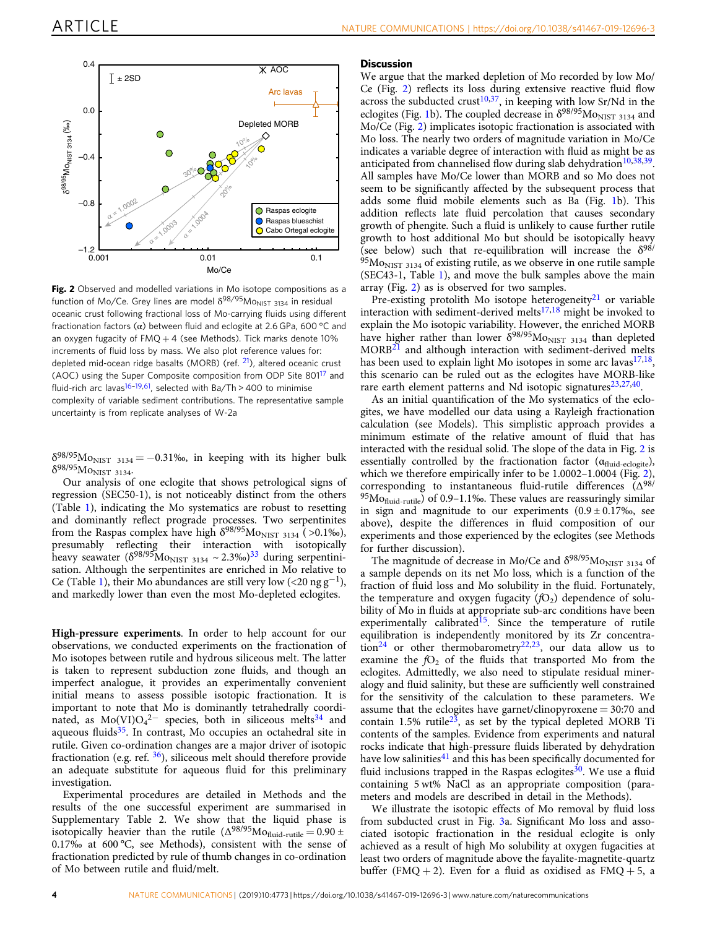<span id="page-3-0"></span>

Fig. 2 Observed and modelled variations in Mo isotope compositions as a function of Mo/Ce. Grey lines are model  $\delta^{98/95}$ Mo<sub>NIST 3134</sub> in residual oceanic crust following fractional loss of Mo-carrying fluids using different fractionation factors (α) between fluid and eclogite at 2.6 GPa, 600 °C and an oxygen fugacity of  $FMQ + 4$  (see Methods). Tick marks denote 10% increments of fluid loss by mass. We also plot reference values for: depleted mid-ocean ridge basalts (MORB) (ref. <sup>[21](#page-7-0)</sup>), altered oceanic crust (AOC) using the Super Composite composition from ODP Site 80[117](#page-7-0) and fluid-rich arc lavas<sup>16-[19,](#page-7-0)61</sup>, selected with Ba/Th > 400 to minimise complexity of variable sediment contributions. The representative sample uncertainty is from replicate analyses of W-2a

 $\delta^{98/95}$ Mo<sub>NIST 3134</sub> = -0.31‰, in keeping with its higher bulk δ<sup>98/95</sup>Mo<sub>NIST</sub> 3134·

Our analysis of one eclogite that shows petrological signs of regression (SEC50-1), is not noticeably distinct from the others (Table [1](#page-2-0)), indicating the Mo systematics are robust to resetting and dominantly reflect prograde processes. Two serpentinites from the Raspas complex have high  $\delta^{98/95}$ Mo<sub>NIST 3134</sub> (>0.1‰), presumably reflecting their interaction with isotopically heavy seawater  $(\delta^{98/95}Mo_{NIST 3134} \sim 2.3\%)^{33}$  $(\delta^{98/95}Mo_{NIST 3134} \sim 2.3\%)^{33}$  $(\delta^{98/95}Mo_{NIST 3134} \sim 2.3\%)^{33}$  during serpentinisation. Although the serpentinites are enriched in Mo relative to Ce (Table [1](#page-2-0)), their Mo abundances are still very low (<20  $\text{ng g}^{-1}$ ), and markedly lower than even the most Mo-depleted eclogites.

High-pressure experiments. In order to help account for our observations, we conducted experiments on the fractionation of Mo isotopes between rutile and hydrous siliceous melt. The latter is taken to represent subduction zone fluids, and though an imperfect analogue, it provides an experimentally convenient initial means to assess possible isotopic fractionation. It is important to note that Mo is dominantly tetrahedrally coordinated, as  $Mo(VI)O<sub>4</sub><sup>2–</sup>$  species, both in siliceous melts<sup>[34](#page-7-0)</sup> and aqueous fluids $35$ . In contrast, Mo occupies an octahedral site in rutile. Given co-ordination changes are a major driver of isotopic fractionation (e.g. ref.  $36$ ), siliceous melt should therefore provide an adequate substitute for aqueous fluid for this preliminary investigation.

Experimental procedures are detailed in Methods and the results of the one successful experiment are summarised in Supplementary Table 2. We show that the liquid phase is isotopically heavier than the rutile  $(\Delta^{98/95}Mo_{fluid\text{-}rutile}=0.90\pm$ 0.17‰ at 600 °C, see Methods), consistent with the sense of fractionation predicted by rule of thumb changes in co-ordination of Mo between rutile and fluid/melt.

#### **Discussion**

We argue that the marked depletion of Mo recorded by low Mo/ Ce (Fig. 2) reflects its loss during extensive reactive fluid flow across the subducted crust<sup>[10,37](#page-7-0)</sup>, in keeping with low Sr/Nd in the eclogites (Fig. [1](#page-2-0)b). The coupled decrease in  $\delta^{98/95}$ Mo<sub>NIST</sub> 3134 and Mo/Ce (Fig. 2) implicates isotopic fractionation is associated with Mo loss. The nearly two orders of magnitude variation in Mo/Ce indicates a variable degree of interaction with fluid as might be as anticipated from channelised flow during slab dehydration<sup>10,38,39</sup>. All samples have Mo/Ce lower than MORB and so Mo does not seem to be significantly affected by the subsequent process that adds some fluid mobile elements such as Ba (Fig. [1b](#page-2-0)). This addition reflects late fluid percolation that causes secondary growth of phengite. Such a fluid is unlikely to cause further rutile growth to host additional Mo but should be isotopically heavy (see below) such that re-equilibration will increase the  $\delta^{98/}$  $95Mo<sub>NIST 3134</sub>$  of existing rutile, as we observe in one rutile sample (SEC43-1, Table [1\)](#page-2-0), and move the bulk samples above the main array (Fig. 2) as is observed for two samples.

Pre-existing protolith Mo isotope heterogeneity $21$  or variable interaction with sediment-derived melts $17,18$  $17,18$  $17,18$  might be invoked to explain the Mo isotopic variability. However, the enriched MORB have higher rather than lower  $\dot{\delta}^{98/95}$ Mo<sub>NIST 3134</sub> than depleted MORB<sup>[21](#page-7-0)</sup> and although interaction with sediment-derived melts has been used to explain light Mo isotopes in some arc lavas $17,18$ , this scenario can be ruled out as the eclogites have MORB-like rare earth element patterns and Nd isotopic signatures $23,27,40$ .

As an initial quantification of the Mo systematics of the eclogites, we have modelled our data using a Rayleigh fractionation calculation (see Models). This simplistic approach provides a minimum estimate of the relative amount of fluid that has interacted with the residual solid. The slope of the data in Fig. 2 is essentially controlled by the fractionation factor  $(\alpha_{\text{fluid-eclogite}})$ , which we therefore empirically infer to be 1.0002–1.0004 (Fig. 2), corresponding to instantaneous fluid-rutile differences (Δ98/  $95Mo<sub>fluid-rutile</sub>$  of 0.9–1.1‰. These values are reassuringly similar in sign and magnitude to our experiments  $(0.9 \pm 0.17)$ %, see above), despite the differences in fluid composition of our experiments and those experienced by the eclogites (see Methods for further discussion).

The magnitude of decrease in Mo/Ce and  $\delta^{98/95}$ Mo<sub>NIST</sub> 3134 of a sample depends on its net Mo loss, which is a function of the fraction of fluid loss and Mo solubility in the fluid. Fortunately, the temperature and oxygen fugacity  $(fO<sub>2</sub>)$  dependence of solubility of Mo in fluids at appropriate sub-arc conditions have been experimentally calibrated<sup>15</sup>. Since the temperature of rutile equilibration is independently monitored by its Zr concentration[24](#page-7-0) or other thermobarometry[22](#page-7-0),[23](#page-7-0), our data allow us to examine the  $fO<sub>2</sub>$  of the fluids that transported Mo from the eclogites. Admittedly, we also need to stipulate residual mineralogy and fluid salinity, but these are sufficiently well constrained for the sensitivity of the calculation to these parameters. We assume that the eclogites have garnet/clinopyroxene = 30:70 and contain 1.5% rutile<sup>23</sup>, as set by the typical depleted MORB Ti contents of the samples. Evidence from experiments and natural rocks indicate that high-pressure fluids liberated by dehydration have low salinities<sup>[41](#page-7-0)</sup> and this has been specifically documented for fluid inclusions trapped in the Raspas eclogites $30$ . We use a fluid containing 5 wt% NaCl as an appropriate composition (parameters and models are described in detail in the Methods).

We illustrate the isotopic effects of Mo removal by fluid loss from subducted crust in Fig. [3](#page-4-0)a. Significant Mo loss and associated isotopic fractionation in the residual eclogite is only achieved as a result of high Mo solubility at oxygen fugacities at least two orders of magnitude above the fayalite-magnetite-quartz buffer (FMQ + 2). Even for a fluid as oxidised as  $FMQ + 5$ , a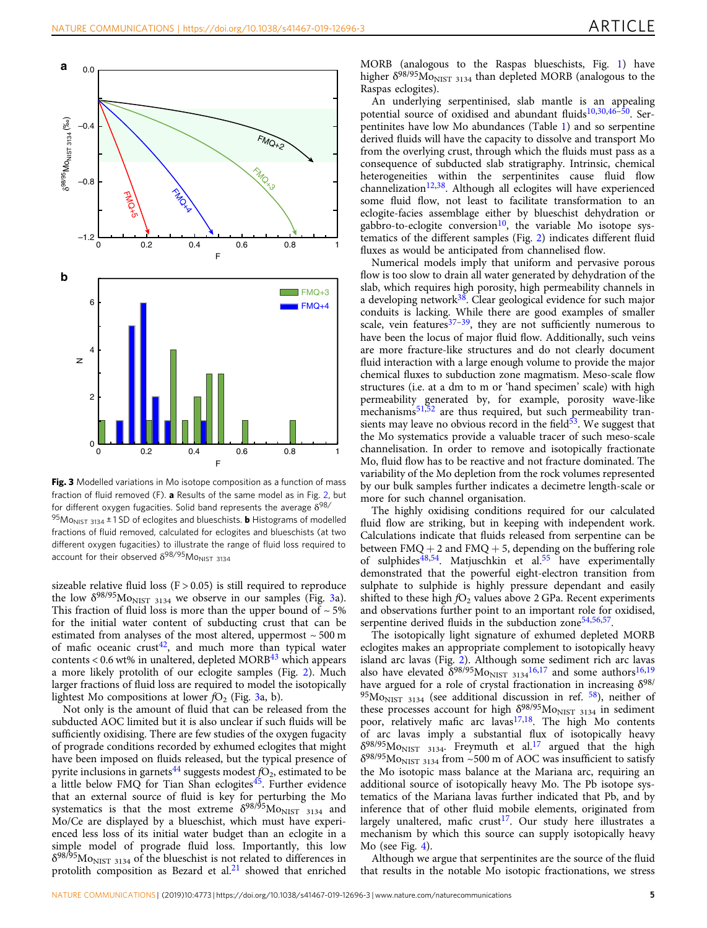<span id="page-4-0"></span>

Fig. 3 Modelled variations in Mo isotope composition as a function of mass fraction of fluid removed (F). a Results of the same model as in Fig. [2,](#page-3-0) but for different oxygen fugacities. Solid band represents the average  $\delta^{98/2}$ <sup>95</sup>Mo<sub>NIST</sub> 3134  $\pm$  1 SD of eclogites and blueschists. **b** Histograms of modelled fractions of fluid removed, calculated for eclogites and blueschists (at two different oxygen fugacities) to illustrate the range of fluid loss required to account for their observed  $\delta^{98/95}$ Mo<sub>NIST</sub> 3134

sizeable relative fluid loss ( $F > 0.05$ ) is still required to reproduce the low  $\delta^{98/95}$ Mo<sub>NIST 3134</sub> we observe in our samples (Fig. 3a). This fraction of fluid loss is more than the upper bound of  $\sim$  5% for the initial water content of subducting crust that can be estimated from analyses of the most altered, uppermost  $\sim$  500 m of mafic oceanic crust<sup>[42](#page-7-0)</sup>, and much more than typical water contents <  $0.6$  wt% in unaltered, depleted MORB $43$  which appears a more likely protolith of our eclogite samples (Fig. [2\)](#page-3-0). Much larger fractions of fluid loss are required to model the isotopically lightest Mo compositions at lower  $fO<sub>2</sub>$  (Fig. 3a, b).

Not only is the amount of fluid that can be released from the subducted AOC limited but it is also unclear if such fluids will be sufficiently oxidising. There are few studies of the oxygen fugacity of prograde conditions recorded by exhumed eclogites that might have been imposed on fluids released, but the typical presence of pyrite inclusions in garnets<sup>44</sup> suggests modest  $fO<sub>2</sub>$ , estimated to be a little below FMQ for Tian Shan eclogites $45$ . Further evidence that an external source of fluid is key for perturbing the Mo systematics is that the most extreme  $\delta^{98/95}$ Mo<sub>NIST</sub> 3134 and Mo/Ce are displayed by a blueschist, which must have experienced less loss of its initial water budget than an eclogite in a simple model of prograde fluid loss. Importantly, this low  $\delta^{98/95}$ Mo<sub>NIST 3134</sub> of the blueschist is not related to differences in protolith composition as Bezard et  $al<sup>21</sup>$  $al<sup>21</sup>$  $al<sup>21</sup>$  showed that enriched MORB (analogous to the Raspas blueschists, Fig. [1](#page-2-0)) have higher  $\delta^{98/95}$ Mo<sub>NIST 3134</sub> than depleted MORB (analogous to the Raspas eclogites).

An underlying serpentinised, slab mantle is an appealing potential source of oxidised and abundant fluids<sup>[10,30,46](#page-7-0)-50</sup>. Serpentinites have low Mo abundances (Table [1](#page-2-0)) and so serpentine derived fluids will have the capacity to dissolve and transport Mo from the overlying crust, through which the fluids must pass as a consequence of subducted slab stratigraphy. Intrinsic, chemical heterogeneities within the serpentinites cause fluid flow channelization<sup>[12](#page-7-0),[38](#page-7-0)</sup>. Although all eclogites will have experienced some fluid flow, not least to facilitate transformation to an eclogite-facies assemblage either by blueschist dehydration or gabbro-to-eclogite conversion<sup>10</sup>, the variable Mo isotope systematics of the different samples (Fig. [2](#page-3-0)) indicates different fluid fluxes as would be anticipated from channelised flow.

Numerical models imply that uniform and pervasive porous flow is too slow to drain all water generated by dehydration of the slab, which requires high porosity, high permeability channels in a developing network $38$ . Clear geological evidence for such major conduits is lacking. While there are good examples of smaller scale, vein features $37-39$  $37-39$ , they are not sufficiently numerous to have been the locus of major fluid flow. Additionally, such veins are more fracture-like structures and do not clearly document fluid interaction with a large enough volume to provide the major chemical fluxes to subduction zone magmatism. Meso-scale flow structures (i.e. at a dm to m or 'hand specimen' scale) with high permeability generated by, for example, porosity wave-like mechanisms<sup>[51,52](#page-7-0)</sup> are thus required, but such permeability transients may leave no obvious record in the field $\frac{53}{3}$ . We suggest that the Mo systematics provide a valuable tracer of such meso-scale channelisation. In order to remove and isotopically fractionate Mo, fluid flow has to be reactive and not fracture dominated. The variability of the Mo depletion from the rock volumes represented by our bulk samples further indicates a decimetre length-scale or more for such channel organisation.

The highly oxidising conditions required for our calculated fluid flow are striking, but in keeping with independent work. Calculations indicate that fluids released from serpentine can be between  $FMQ + 2$  and  $FMQ + 5$ , depending on the buffering role of sulphides<sup>[48](#page-7-0),[54](#page-7-0)</sup>. Matjuschkin et al.<sup>55</sup> have experimentally demonstrated that the powerful eight-electron transition from sulphate to sulphide is highly pressure dependant and easily shifted to these high  $fO<sub>2</sub>$  values above 2 GPa. Recent experiments and observations further point to an important role for oxidised, serpentine derived fluids in the subduction zone<sup>[54](#page-7-0),56,57</sup>.

The isotopically light signature of exhumed depleted MORB eclogites makes an appropriate complement to isotopically heavy island arc lavas (Fig. [2](#page-3-0)). Although some sediment rich arc lavas also have elevated  $\delta^{98/95}$ Mo<sub>NIST</sub> 3134<sup>16,17</sup> and some authors<sup>[16,19](#page-7-0)</sup> have argued for a role of crystal fractionation in increasing  $\delta^{98/2}$  $95M<sub>ONIST 3134</sub>$  (see additional discussion in ref.  $58$ ), neither of these processes account for high  $\delta^{98/95}$ Mo<sub>NIST 3134</sub> in sediment poor, relatively mafic arc lavas $17,18$ . The high Mo contents of arc lavas imply a substantial flux of isotopically heavy  $\delta^{98/95}$ Mo<sub>NIST 3134</sub>. Freymuth et al.<sup>17</sup> argued that the high  $\delta^{98/95}$ Mo<sub>NIST 3134</sub> from ~500 m of AOC was insufficient to satisfy the Mo isotopic mass balance at the Mariana arc, requiring an additional source of isotopically heavy Mo. The Pb isotope systematics of the Mariana lavas further indicated that Pb, and by inference that of other fluid mobile elements, originated from largely unaltered, mafic crust<sup>17</sup>. Our study here illustrates a mechanism by which this source can supply isotopically heavy Mo (see Fig.  $4$ ).

Although we argue that serpentinites are the source of the fluid that results in the notable Mo isotopic fractionations, we stress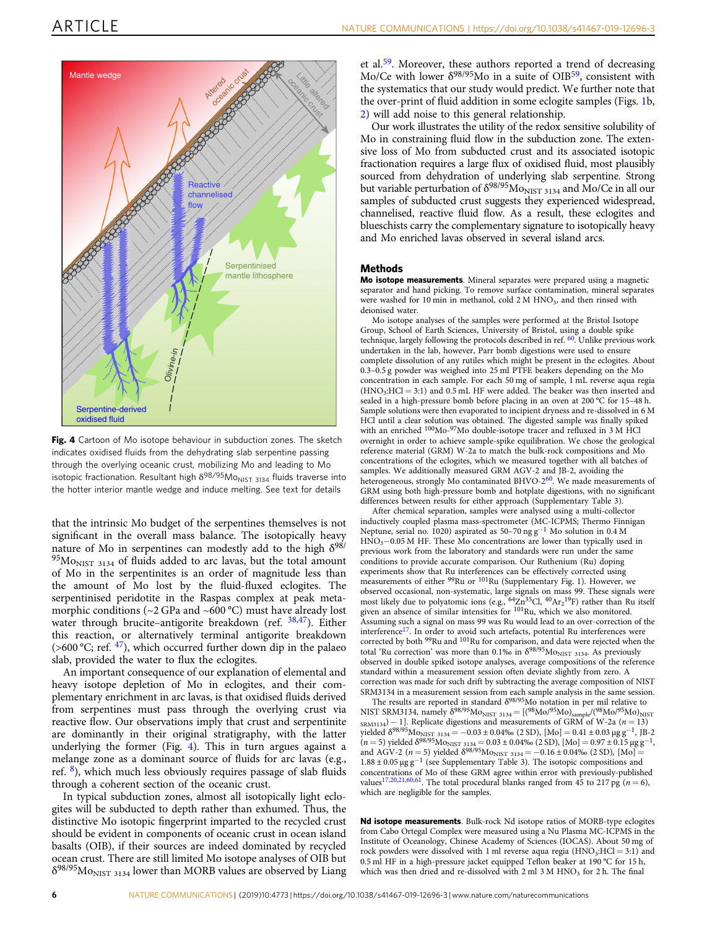<span id="page-5-0"></span>

Fig. 4 Cartoon of Mo isotope behaviour in subduction zones. The sketch indicates oxidised fluids from the dehydrating slab serpentine passing through the overlying oceanic crust, mobilizing Mo and leading to Mo isotopic fractionation. Resultant high  $\delta^{98/95}$ Mo<sub>NIST</sub> 3134 fluids traverse into the hotter interior mantle wedge and induce melting. See text for details

that the intrinsic Mo budget of the serpentines themselves is not significant in the overall mass balance. The isotopically heavy nature of Mo in serpentines can modestly add to the high  $\delta^{98/}$  $95M<sub>ONIST 3134</sub>$  of fluids added to arc lavas, but the total amount of Mo in the serpentinites is an order of magnitude less than the amount of Mo lost by the fluid-fluxed eclogites. The serpentinised peridotite in the Raspas complex at peak metamorphic conditions (~2 GPa and ~600 °C) must have already lost water through brucite–antigorite breakdown (ref. [38,47\)](#page-7-0). Either this reaction, or alternatively terminal antigorite breakdown (>600 °C; ref. [47](#page-7-0)), which occurred further down dip in the palaeo slab, provided the water to flux the eclogites.

An important consequence of our explanation of elemental and heavy isotope depletion of Mo in eclogites, and their complementary enrichment in arc lavas, is that oxidised fluids derived from serpentines must pass through the overlying crust via reactive flow. Our observations imply that crust and serpentinite are dominantly in their original stratigraphy, with the latter underlying the former (Fig. 4). This in turn argues against a melange zone as a dominant source of fluids for arc lavas (e.g., ref. [8\)](#page-7-0), which much less obviously requires passage of slab fluids through a coherent section of the oceanic crust.

In typical subduction zones, almost all isotopically light eclogites will be subducted to depth rather than exhumed. Thus, the distinctive Mo isotopic fingerprint imparted to the recycled crust should be evident in components of oceanic crust in ocean island basalts (OIB), if their sources are indeed dominated by recycled ocean crust. There are still limited Mo isotope analyses of OIB but  $\delta^{98/95}\rm{Mo}_{\rm{NIST}}$   $_{3134}$  lower than MORB values are observed by Liang

et al.[59.](#page-7-0) Moreover, these authors reported a trend of decreasing Mo/Ce with lower  $\delta^{98/95}$ Mo in a suite of OIB<sup>59</sup>, consistent with the systematics that our study would predict. We further note that the over-print of fluid addition in some eclogite samples (Figs. [1b](#page-2-0), [2](#page-3-0)) will add noise to this general relationship.

Our work illustrates the utility of the redox sensitive solubility of Mo in constraining fluid flow in the subduction zone. The extensive loss of Mo from subducted crust and its associated isotopic fractionation requires a large flux of oxidised fluid, most plausibly sourced from dehydration of underlying slab serpentine. Strong but variable perturbation of  $\delta^{98/95}$ Mo<sub>NIST 3134</sub> and Mo/Ce in all our samples of subducted crust suggests they experienced widespread, channelised, reactive fluid flow. As a result, these eclogites and blueschists carry the complementary signature to isotopically heavy and Mo enriched lavas observed in several island arcs.

#### Methods

Mo isotope measurements. Mineral separates were prepared using a magnetic separator and hand picking. To remove surface contamination, mineral separates were washed for 10 min in methanol, cold  $2 M HNO<sub>3</sub>$ , and then rinsed with deionised water.

Mo isotope analyses of the samples were performed at the Bristol Isotope Group, School of Earth Sciences, University of Bristol, using a double spike technique, largely following the protocols described in ref. [60.](#page-7-0) Unlike previous work undertaken in the lab, however, Parr bomb digestions were used to ensure complete dissolution of any rutiles which might be present in the eclogites. About 0.3–0.5 g powder was weighed into 25 ml PTFE beakers depending on the Mo concentration in each sample. For each 50 mg of sample, 1 mL reverse aqua regia  $(HNO<sub>3</sub>:HCl = 3:1)$  and 0.5 mL HF were added. The beaker was then inserted and sealed in a high-pressure bomb before placing in an oven at 200 °C for 15–48 h. Sample solutions were then evaporated to incipient dryness and re-dissolved in 6 M HCl until a clear solution was obtained. The digested sample was finally spiked with an enriched <sup>100</sup>Mo-<sup>97</sup>Mo double-isotope tracer and refluxed in 3 M HCl overnight in order to achieve sample-spike equilibration. We chose the geological reference material (GRM) W-2a to match the bulk-rock compositions and Mo concentrations of the eclogites, which we measured together with all batches of samples. We additionally measured GRM AGV-2 and JB-2, avoiding the heterogeneous, strongly Mo contaminated BHVO- $2^{60}$  $2^{60}$  $2^{60}$ . We made measurements of GRM using both high-pressure bomb and hotplate digestions, with no significant differences between results for either approach (Supplementary Table 3).

After chemical separation, samples were analysed using a multi-collector inductively coupled plasma mass-spectrometer (MC-ICPMS; Thermo Finnigan Neptune, serial no. 1020) aspirated as 50–70 ng g−<sup>1</sup> Mo solution in 0.4 M HNO3−0.05 M HF. These Mo concentrations are lower than typically used in previous work from the laboratory and standards were run under the same conditions to provide accurate comparison. Our Ruthenium (Ru) doping experiments show that Ru interferences can be effectively corrected using measurements of either <sup>99</sup>Ru or <sup>101</sup>Ru (Supplementary Fig. 1). However, we observed occasional, non-systematic, large signals on mass 99. These signals were most likely due to polyatomic ions (e.g., <sup>64</sup>Zn<sup>35</sup>Cl, <sup>40</sup>Ar<sub>2</sub><sup>19</sup>F) rather than Ru itself given an absence of similar intensities for  $101$ Ru, which we also monitored. Assuming such a signal on mass 99 was Ru would lead to an over-correction of the interference<sup>17</sup>. In order to avoid such artefacts, potential Ru interferences were corrected by both <sup>99</sup>Ru and <sup>101</sup>Ru for comparison, and data were rejected when the total 'Ru correction' was more than 0.1‰ in  $\delta^{98/95}M_{\rm ONIST}$  3134. As previously observed in double spiked isotope analyses, average compositions of the reference standard within a measurement session often deviate slightly from zero. A correction was made for such drift by subtracting the average composition of NIST SRM3134 in a measurement session from each sample analysis in the same session.

The results are reported in standard  $\delta^{98/95}$ Mo notation in per mil relative to NIST SRM3134, namely  $\delta^{98/95}M_{\rm ONIST\ 3134} = [(98Mo/95Mo)_{\rm sample}/(98Mo/95Mo)_{\rm NIST}$  $S_{\text{RMS134}}$  – 1]. Replicate digestions and measurements of GRM of W-2a (n = 13) yielded  $δ^{98/95}$ Mo<sub>NIST 3134</sub> = −0.03 ± 0.04‰ (2 SD), [Mo] = 0.41 ± 0.03 μg g<sup>-1</sup>, JB-2  $(n = 5)$  yielded δ<sup>98/95</sup>Mo<sub>NIST</sub> <sub>3134</sub> = 0.03 ± 0.04‰ (2 SD), [Mo] = 0.97 ± 0.15 μg g<sup>-1</sup>, and AGV-2 (n = 5) yielded  $\delta^{98/95}$ Mo<sub>NIST</sub> <sub>3134</sub> = −0.16 ± 0.04‰ (2 SD), [Mo] = 1.88 ± 0.05 μg g−<sup>1</sup> (see Supplementary Table 3). The isotopic compositions and concentrations of Mo of these GRM agree within error with previously-published values<sup>[17](#page-7-0),[20](#page-7-0),[21,60](#page-7-0)[,61](#page-8-0)</sup>. The total procedural blanks ranged from 45 to 217 pg ( $n = 6$ ), which are negligible for the samples.

Nd isotope measurements. Bulk-rock Nd isotope ratios of MORB-type eclogites from Cabo Ortegal Complex were measured using a Nu Plasma MC-ICPMS in the Institute of Oceanology, Chinese Academy of Sciences (IOCAS). About 50 mg of rock powders were dissolved with 1 ml reverse aqua regia  $(HNO<sub>3</sub>:HCl = 3:1)$  and 0.5 ml HF in a high-pressure jacket equipped Teflon beaker at 190 °C for 15 h, which was then dried and re-dissolved with  $2 \text{ ml } 3 \text{ M HNO}_3$  for  $2 \text{ h}$ . The final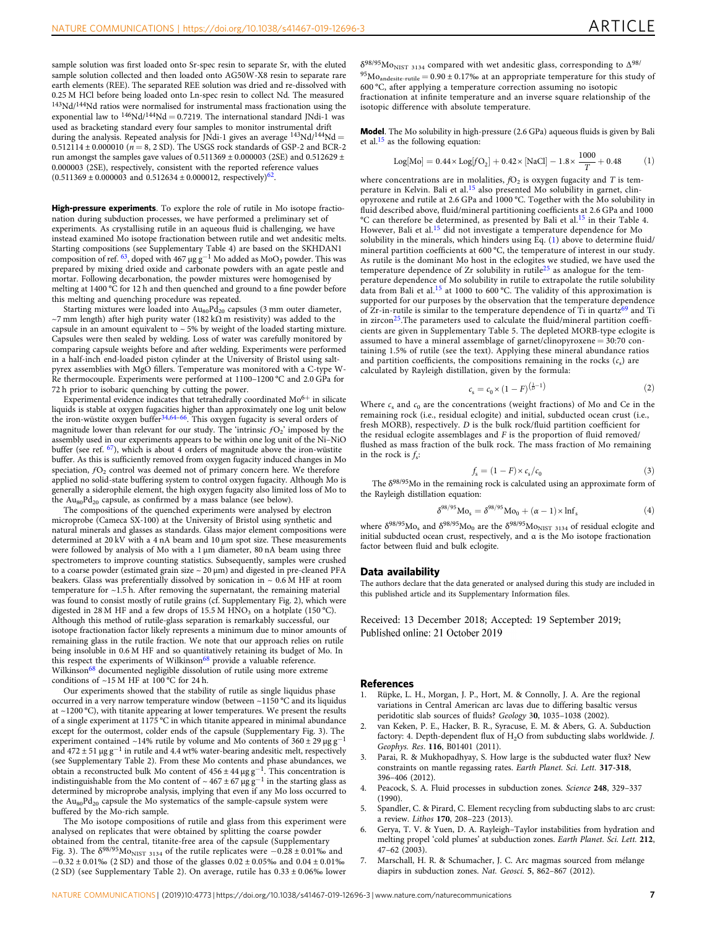<span id="page-6-0"></span>sample solution was first loaded onto Sr-spec resin to separate Sr, with the eluted sample solution collected and then loaded onto AG50W-X8 resin to separate rare earth elements (REE). The separated REE solution was dried and re-dissolved with 0.25 M HCl before being loaded onto Ln-spec resin to collect Nd. The measured 143Nd/144Nd ratios were normalised for instrumental mass fractionation using the exponential law to  $146Nd/144Nd = 0.7219$ . The international standard JNdi-1 was used as bracketing standard every four samples to monitor instrumental drift during the analysis. Repeated analysis for JNdi-1 gives an average  $\rm ^{143}Nd/^{144}Nd =$  $0.512114 \pm 0.000010$  ( $n = 8$ , 2 SD). The USGS rock standards of GSP-2 and BCR-2 run amongst the samples gave values of  $0.511369 \pm 0.000003$  (2SE) and  $0.512629 \pm$ 0.000003 (2SE), respectively, consistent with the reported reference values (0.511369  $\pm$  0.000003 and 0.512634  $\pm$  0.000012, respectively)<sup>62</sup>.

High-pressure experiments. To explore the role of rutile in Mo isotope fractionation during subduction processes, we have performed a preliminary set of experiments. As crystallising rutile in an aqueous fluid is challenging, we have instead examined Mo isotope fractionation between rutile and wet andesitic melts. Starting compositions (see Supplementary Table 4) are based on the SKHDAN1<br>composition of ref. <sup>[63](#page-8-0)</sup>, doped with 467 μg g<sup>−1</sup> Mo added as MoO<sub>3</sub> powder. This was prepared by mixing dried oxide and carbonate powders with an agate pestle and mortar. Following decarbonation, the powder mixtures were homogenised by melting at 1400 °C for 12 h and then quenched and ground to a fine powder before this melting and quenching procedure was repeated.

Starting mixtures were loaded into  $Au_{80}Pd_{20}$  capsules (3 mm outer diameter, ~7 mm length) after high purity water (182 k $\Omega$  m resistivity) was added to the capsule in an amount equivalent to  $\sim$  5% by weight of the loaded starting mixture. Capsules were then sealed by welding. Loss of water was carefully monitored by comparing capsule weights before and after welding. Experiments were performed in a half-inch end-loaded piston cylinder at the University of Bristol using saltpyrex assemblies with MgO fillers. Temperature was monitored with a C-type W-Re thermocouple. Experiments were performed at 1100–1200 °C and 2.0 GPa for 72 h prior to isobaric quenching by cutting the power.

Experimental evidence indicates that tetrahedrally coordinated  $Mo^{6+}$  in silicate liquids is stable at oxygen fugacities higher than approximately one log unit below the iron-wüstite oxygen buffer[34,](#page-7-0)[64](#page-8-0)–[66](#page-8-0). This oxygen fugacity is several orders of magnitude lower than relevant for our study. The 'intrinsic  $fO_2$ ' imposed by the assembly used in our experiments appears to be within one log unit of the Ni–NiO buffer (see ref.  $67$ ), which is about  $4$  orders of magnitude above the iron-wüstite buffer. As this is sufficiently removed from oxygen fugacity induced changes in Mo speciation,  $fO_2$  control was deemed not of primary concern here. We therefore applied no solid-state buffering system to control oxygen fugacity. Although Mo is generally a siderophile element, the high oxygen fugacity also limited loss of Mo to the  $Au_{80}Pd_{20}$  capsule, as confirmed by a mass balance (see below).

The compositions of the quenched experiments were analysed by electron microprobe (Cameca SX-100) at the University of Bristol using synthetic and natural minerals and glasses as standards. Glass major element compositions were determined at 20 kV with a 4 nA beam and 10 µm spot size. These measurements were followed by analysis of Mo with a 1  $\mu$ m diameter, 80 nA beam using three spectrometers to improve counting statistics. Subsequently, samples were crushed to a coarse powder (estimated grain size  $\sim$  20  $\upmu \textrm{m})$  and digested in pre-cleaned PFA beakers. Glass was preferentially dissolved by sonication in  $\sim 0.6$  M HF at room temperature for ~1.5 h. After removing the supernatant, the remaining material was found to consist mostly of rutile grains (cf. Supplementary Fig. 2), which were digested in 28 M HF and a few drops of 15.5 M HNO<sub>3</sub> on a hotplate (150 °C). Although this method of rutile-glass separation is remarkably successful, our isotope fractionation factor likely represents a minimum due to minor amounts of remaining glass in the rutile fraction. We note that our approach relies on rutile being insoluble in 0.6 M HF and so quantitatively retaining its budget of Mo. In this respect the experiments of Wilkinson<sup>[68](#page-8-0)</sup> provide a valuable reference. Wilkinson<sup>[68](#page-8-0)</sup> documented negligible dissolution of rutile using more extreme conditions of  $\sim$ 15 M HF at 100 °C for 24 h.

Our experiments showed that the stability of rutile as single liquidus phase occurred in a very narrow temperature window (between ~1150 °C and its liquidus at ~1200 °C), with titanite appearing at lower temperatures. We present the results of a single experiment at 1175 °C in which titanite appeared in minimal abundance except for the outermost, colder ends of the capsule (Supplementary Fig. 3). The experiment contained ~14% rutile by volume and Mo contents of  $360 \pm 29 \,\text{µg}\,\text{g}^{-1}$ and  $472 \pm 51 \,\mu g \,g^{-1}$  in rutile and 4.4 wt% water-bearing andesitic melt, respectively (see Supplementary Table 2). From these Mo contents and phase abundances, we obtain a reconstructed bulk Mo content of  $456 \pm 44 \,\mu g \,g^{-1}$ . This concentration is indistinguishable from the Mo content of ~467 ± 67  $\mu$ g g<sup>-1</sup> in the starting glass as determined by microprobe analysis, implying that even if any Mo loss occurred to the  $Au_{80}Pd_{20}$  capsule the Mo systematics of the sample-capsule system were buffered by the Mo-rich sample.

The Mo isotope compositions of rutile and glass from this experiment were analysed on replicates that were obtained by splitting the coarse powder obtained from the central, titanite-free area of the capsule (Supplementary Fig. 3). The  $\delta^{98/95}M_{\text{ONIST 3134}}$  of the rutile replicates were −0.28 ± 0.01‰ and  $-0.32\pm0.01\%$  (2 SD) and those of the glasses  $0.02\pm0.05\%$  and  $0.04\pm0.01\%$ (2 SD) (see Supplementary Table 2). On average, rutile has 0.33 ± 0.06‰ lower

 $\delta^{98/95}$ Mo<sub>NIST 3134</sub> compared with wet andesitic glass, corresponding to  $\Delta^{98/9}$  $^{95}Mo$ <sub>andesite-rutile</sub> = 0.90 ± 0.17‰ at an appropriate temperature for this study of 600 °C, after applying a temperature correction assuming no isotopic fractionation at infinite temperature and an inverse square relationship of the isotopic difference with absolute temperature.

Model. The Mo solubility in high-pressure (2.6 GPa) aqueous fluids is given by Bali et al.[15](#page-7-0) as the following equation:

Log[Mo] = 
$$
0.44 \times \text{Log}[fO_2] + 0.42 \times [\text{NaCl}] - 1.8 \times \frac{1000}{T} + 0.48
$$
 (1)

where concentrations are in molalities,  $fO<sub>2</sub>$  is oxygen fugacity and T is tem-perature in Kelvin. Bali et al.<sup>[15](#page-7-0)</sup> also presented Mo solubility in garnet, clinopyroxene and rutile at 2.6 GPa and 1000 °C. Together with the Mo solubility in fluid described above, fluid/mineral partitioning coefficients at 2.6 GPa and 1000 °C can therefore be determined, as presented by Bali et al.[15](#page-7-0) in their Table 4. However, Bali et al.[15](#page-7-0) did not investigate a temperature dependence for Mo solubility in the minerals, which hinders using Eq. (1) above to determine fluid/ mineral partition coefficients at 600 °C, the temperature of interest in our study. As rutile is the dominant Mo host in the eclogites we studied, we have used the temperature dependence of Zr solubility in rutile[25](#page-7-0) as analogue for the temperature dependence of Mo solubility in rutile to extrapolate the rutile solubility data from Bali et al.<sup>[15](#page-7-0)</sup> at 1000 to 600 °C. The validity of this approximation is supported for our purposes by the observation that the temperature dependence of Zr-in-rutile is similar to the temperature dependence of Ti in quartz<sup>[69](#page-8-0)</sup> and Ti in zircon<sup>25</sup>. The parameters used to calculate the fluid/mineral partition coefficients are given in Supplementary Table 5. The depleted MORB-type eclogite is assumed to have a mineral assemblage of garnet/clinopyroxene = 30:70 containing 1.5% of rutile (see the text). Applying these mineral abundance ratios and partition coefficients, the compositions remaining in the rocks  $(c_s)$  are calculated by Rayleigh distillation, given by the formula:

$$
c_{s} = c_{0} \times (1 - F)^{\left(\frac{1}{D} - 1\right)}\tag{2}
$$

Where  $c_s$  and  $c_0$  are the concentrations (weight fractions) of Mo and Ce in the remaining rock (i.e., residual eclogite) and initial, subducted ocean crust (i.e., fresh MORB), respectively. D is the bulk rock/fluid partition coefficient for the residual eclogite assemblages and  $F$  is the proportion of fluid removed/ flushed as mass fraction of the bulk rock. The mass fraction of Mo remaining in the rock is  $f_s$ :

$$
f_{\rm s} = (1 - F) \times c_{\rm s}/c_0 \tag{3}
$$

The  $\delta^{98/95}$ Mo in the remaining rock is calculated using an approximate form of the Rayleigh distillation equation:

$$
\delta^{98/95} \text{Mo}_{s} = \delta^{98/95} \text{Mo}_{0} + (\alpha - 1) \times \text{Inf}_{s}
$$
 (4)

where  $\delta^{98/95}\rm{Mo}_{\rm{s}}$  and  $\delta^{98/95}\rm{Mo}_{\rm{0}}$  are the  $\delta^{98/95}\rm{Mo}_{\rm{NIST}}$   $_{3134}$  of residual eclogite and initial subducted ocean crust, respectively, and α is the Mo isotope fractionation factor between fluid and bulk eclogite.

#### Data availability

The authors declare that the data generated or analysed during this study are included in this published article and its Supplementary Information files.

Received: 13 December 2018; Accepted: 19 September 2019; Published online: 21 October 2019

#### References

- Rüpke, L. H., Morgan, J. P., Hort, M. & Connolly, J. A. Are the regional variations in Central American arc lavas due to differing basaltic versus peridotitic slab sources of fluids? Geology 30, 1035–1038 (2002).
- 2. van Keken, P. E., Hacker, B. R., Syracuse, E. M. & Abers, G. A. Subduction factory: 4. Depth-dependent flux of H<sub>2</sub>O from subducting slabs worldwide. J. Geophys. Res. 116, B01401 (2011).
- Parai, R. & Mukhopadhyay, S. How large is the subducted water flux? New constraints on mantle regassing rates. Earth Planet. Sci. Lett. 317-318, 396–406 (2012).
- Peacock, S. A. Fluid processes in subduction zones. Science 248, 329-337 (1990).
- 5. Spandler, C. & Pirard, C. Element recycling from subducting slabs to arc crust: a review. Lithos 170, 208–223 (2013).
- 6. Gerya, T. V. & Yuen, D. A. Rayleigh–Taylor instabilities from hydration and melting propel 'cold plumes' at subduction zones. Earth Planet. Sci. Lett. 212, 47–62 (2003).
- 7. Marschall, H. R. & Schumacher, J. C. Arc magmas sourced from mélange diapirs in subduction zones. Nat. Geosci. 5, 862–867 (2012).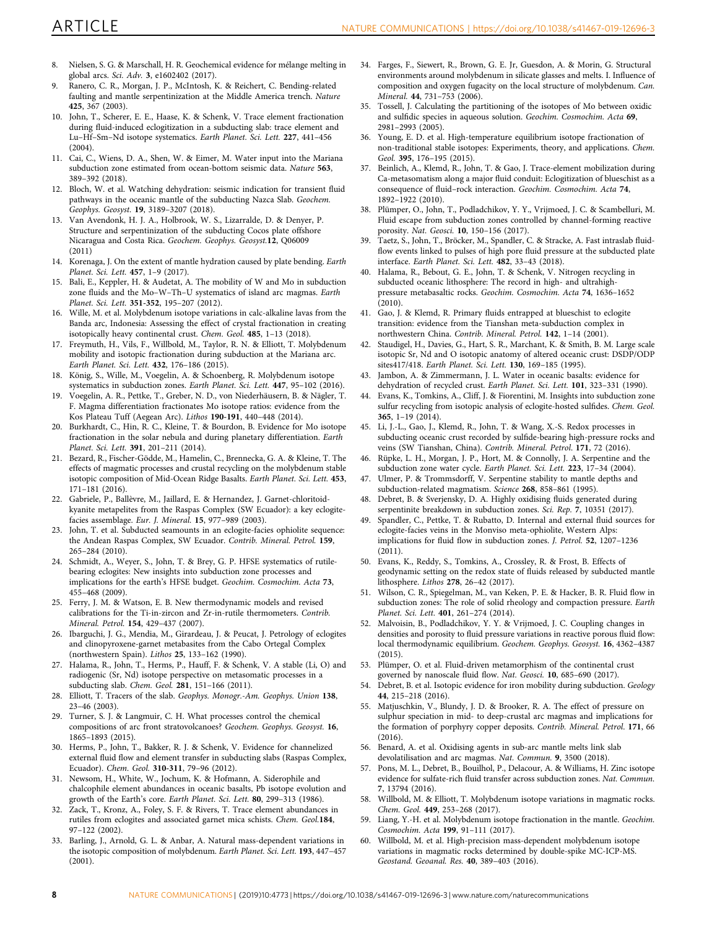- <span id="page-7-0"></span>8. Nielsen, S. G. & Marschall, H. R. Geochemical evidence for mélange melting in global arcs. Sci. Adv. 3, e1602402 (2017).
- 9. Ranero, C. R., Morgan, J. P., McIntosh, K. & Reichert, C. Bending-related faulting and mantle serpentinization at the Middle America trench. Nature 425, 367 (2003).
- John, T., Scherer, E. E., Haase, K. & Schenk, V. Trace element fractionation during fluid-induced eclogitization in a subducting slab: trace element and Lu–Hf–Sm–Nd isotope systematics. Earth Planet. Sci. Lett. 227, 441–456 (2004).
- 11. Cai, C., Wiens, D. A., Shen, W. & Eimer, M. Water input into the Mariana subduction zone estimated from ocean-bottom seismic data. Nature 563, 389–392 (2018).
- 12. Bloch, W. et al. Watching dehydration: seismic indication for transient fluid pathways in the oceanic mantle of the subducting Nazca Slab. Geochem. Geophys. Geosyst. 19, 3189–3207 (2018).
- 13. Van Avendonk, H. J. A., Holbrook, W. S., Lizarralde, D. & Denyer, P. Structure and serpentinization of the subducting Cocos plate offshore Nicaragua and Costa Rica. Geochem. Geophys. Geosyst.12, Q06009 (2011)
- 14. Korenaga, J. On the extent of mantle hydration caused by plate bending. Earth Planet. Sci. Lett. 457, 1–9 (2017).
- 15. Bali, E., Keppler, H. & Audetat, A. The mobility of W and Mo in subduction zone fluids and the Mo–W–Th–U systematics of island arc magmas. Earth Planet. Sci. Lett. 351-352, 195–207 (2012).
- 16. Wille, M. et al. Molybdenum isotope variations in calc-alkaline lavas from the Banda arc, Indonesia: Assessing the effect of crystal fractionation in creating isotopically heavy continental crust. Chem. Geol. 485, 1–13 (2018).
- 17. Freymuth, H., Vils, F., Willbold, M., Taylor, R. N. & Elliott, T. Molybdenum mobility and isotopic fractionation during subduction at the Mariana arc. Earth Planet. Sci. Lett. 432, 176–186 (2015).
- 18. König, S., Wille, M., Voegelin, A. & Schoenberg, R. Molybdenum isotope systematics in subduction zones. Earth Planet. Sci. Lett. 447, 95–102 (2016).
- 19. Voegelin, A. R., Pettke, T., Greber, N. D., von Niederhäusern, B. & Nägler, T. F. Magma differentiation fractionates Mo isotope ratios: evidence from the Kos Plateau Tuff (Aegean Arc). Lithos 190-191, 440–448 (2014).
- 20. Burkhardt, C., Hin, R. C., Kleine, T. & Bourdon, B. Evidence for Mo isotope fractionation in the solar nebula and during planetary differentiation. Earth Planet. Sci. Lett. 391, 201–211 (2014).
- 21. Bezard, R., Fischer-Gödde, M., Hamelin, C., Brennecka, G. A. & Kleine, T. The effects of magmatic processes and crustal recycling on the molybdenum stable isotopic composition of Mid-Ocean Ridge Basalts. Earth Planet. Sci. Lett. 453, 171–181 (2016).
- 22. Gabriele, P., Ballèvre, M., Jaillard, E. & Hernandez, J. Garnet-chloritoidkyanite metapelites from the Raspas Complex (SW Ecuador): a key eclogitefacies assemblage. Eur. J. Mineral. 15, 977–989 (2003).
- 23. John, T. et al. Subducted seamounts in an eclogite-facies ophiolite sequence: the Andean Raspas Complex, SW Ecuador. Contrib. Mineral. Petrol. 159, 265–284 (2010).
- 24. Schmidt, A., Weyer, S., John, T. & Brey, G. P. HFSE systematics of rutilebearing eclogites: New insights into subduction zone processes and implications for the earth's HFSE budget. Geochim. Cosmochim. Acta 73, 455–468 (2009).
- 25. Ferry, J. M. & Watson, E. B. New thermodynamic models and revised calibrations for the Ti-in-zircon and Zr-in-rutile thermometers. Contrib. Mineral. Petrol. 154, 429–437 (2007).
- 26. Ibarguchi, J. G., Mendia, M., Girardeau, J. & Peucat, J. Petrology of eclogites and clinopyroxene-garnet metabasites from the Cabo Ortegal Complex (northwestern Spain). Lithos 25, 133–162 (1990).
- Halama, R., John, T., Herms, P., Hauff, F. & Schenk, V. A stable (Li, O) and radiogenic (Sr, Nd) isotope perspective on metasomatic processes in a subducting slab. Chem. Geol. 281, 151–166 (2011).
- Elliott, T. Tracers of the slab. Geophys. Monogr.-Am. Geophys. Union 138, 23–46 (2003).
- 29. Turner, S. J. & Langmuir, C. H. What processes control the chemical compositions of arc front stratovolcanoes? Geochem. Geophys. Geosyst. 16, 1865–1893 (2015).
- 30. Herms, P., John, T., Bakker, R. J. & Schenk, V. Evidence for channelized external fluid flow and element transfer in subducting slabs (Raspas Complex, Ecuador). Chem. Geol. 310-311, 79–96 (2012).
- 31. Newsom, H., White, W., Jochum, K. & Hofmann, A. Siderophile and chalcophile element abundances in oceanic basalts, Pb isotope evolution and growth of the Earth's core. Earth Planet. Sci. Lett. 80, 299–313 (1986).
- Zack, T., Kronz, A., Foley, S. F. & Rivers, T. Trace element abundances in rutiles from eclogites and associated garnet mica schists. Chem. Geol.184, 97–122 (2002).
- 33. Barling, J., Arnold, G. L. & Anbar, A. Natural mass-dependent variations in the isotopic composition of molybdenum. Earth Planet. Sci. Lett. 193, 447–457 (2001).
- 34. Farges, F., Siewert, R., Brown, G. E. Jr, Guesdon, A. & Morin, G. Structural environments around molybdenum in silicate glasses and melts. I. Influence of composition and oxygen fugacity on the local structure of molybdenum. Can. Mineral. 44, 731–753 (2006).
- 35. Tossell, J. Calculating the partitioning of the isotopes of Mo between oxidic and sulfidic species in aqueous solution. Geochim. Cosmochim. Acta 69, 2981–2993 (2005).
- 36. Young, E. D. et al. High-temperature equilibrium isotope fractionation of non-traditional stable isotopes: Experiments, theory, and applications. Chem. Geol. 395, 176–195 (2015).
- 37. Beinlich, A., Klemd, R., John, T. & Gao, J. Trace-element mobilization during Ca-metasomatism along a major fluid conduit: Eclogitization of blueschist as a consequence of fluid–rock interaction. Geochim. Cosmochim. Acta 74, 1892–1922 (2010).
- 38. Plümper, O., John, T., Podladchikov, Y. Y., Vrijmoed, J. C. & Scambelluri, M. Fluid escape from subduction zones controlled by channel-forming reactive porosity. Nat. Geosci. 10, 150–156 (2017).
- Taetz, S., John, T., Bröcker, M., Spandler, C. & Stracke, A. Fast intraslab fluidflow events linked to pulses of high pore fluid pressure at the subducted plate interface. Earth Planet. Sci. Lett. 482, 33–43 (2018).
- 40. Halama, R., Bebout, G. E., John, T. & Schenk, V. Nitrogen recycling in subducted oceanic lithosphere: The record in high- and ultrahighpressure metabasaltic rocks. Geochim. Cosmochim. Acta 74, 1636–1652 (2010).
- 41. Gao, J. & Klemd, R. Primary fluids entrapped at blueschist to eclogite transition: evidence from the Tianshan meta-subduction complex in northwestern China. Contrib. Mineral. Petrol. 142, 1–14 (2001).
- 42. Staudigel, H., Davies, G., Hart, S. R., Marchant, K. & Smith, B. M. Large scale isotopic Sr, Nd and O isotopic anatomy of altered oceanic crust: DSDP/ODP sites417/418. Earth Planet. Sci. Lett. 130, 169–185 (1995).
- 43. Jambon, A. & Zimmermann, J. L. Water in oceanic basalts: evidence for dehydration of recycled crust. Earth Planet. Sci. Lett. 101, 323–331 (1990).
- 44. Evans, K., Tomkins, A., Cliff, J. & Fiorentini, M. Insights into subduction zone sulfur recycling from isotopic analysis of eclogite-hosted sulfides. Chem. Geol. 365, 1–19 (2014).
- 45. Li, J.-L., Gao, J., Klemd, R., John, T. & Wang, X.-S. Redox processes in subducting oceanic crust recorded by sulfide-bearing high-pressure rocks and veins (SW Tianshan, China). Contrib. Mineral. Petrol. 171, 72 (2016).
- 46. Rüpke, L. H., Morgan, J. P., Hort, M. & Connolly, J. A. Serpentine and the subduction zone water cycle. Earth Planet. Sci. Lett. 223, 17–34 (2004).
- Ulmer, P. & Trommsdorff, V. Serpentine stability to mantle depths and subduction-related magmatism. Science 268, 858–861 (1995).
- 48. Debret, B. & Sverjensky, D. A. Highly oxidising fluids generated during serpentinite breakdown in subduction zones. Sci. Rep. 7, 10351 (2017).
- 49. Spandler, C., Pettke, T. & Rubatto, D. Internal and external fluid sources for eclogite-facies veins in the Monviso meta-ophiolite, Western Alps: implications for fluid flow in subduction zones. J. Petrol. 52, 1207–1236 (2011).
- 50. Evans, K., Reddy, S., Tomkins, A., Crossley, R. & Frost, B. Effects of geodynamic setting on the redox state of fluids released by subducted mantle lithosphere. Lithos 278, 26–42 (2017).
- 51. Wilson, C. R., Spiegelman, M., van Keken, P. E. & Hacker, B. R. Fluid flow in subduction zones: The role of solid rheology and compaction pressure. Earth Planet. Sci. Lett. 401, 261–274 (2014).
- 52. Malvoisin, B., Podladchikov, Y. Y. & Vrijmoed, J. C. Coupling changes in densities and porosity to fluid pressure variations in reactive porous fluid flow: local thermodynamic equilibrium. Geochem. Geophys. Geosyst. 16, 4362–4387 (2015).
- 53. Plümper, O. et al. Fluid-driven metamorphism of the continental crust governed by nanoscale fluid flow. Nat. Geosci. 10, 685–690 (2017).
- 54. Debret, B. et al. Isotopic evidence for iron mobility during subduction. Geology 44, 215–218 (2016).
- 55. Matjuschkin, V., Blundy, J. D. & Brooker, R. A. The effect of pressure on sulphur speciation in mid- to deep-crustal arc magmas and implications for the formation of porphyry copper deposits. Contrib. Mineral. Petrol. 171, 66  $(2016)$
- 56. Benard, A. et al. Oxidising agents in sub-arc mantle melts link slab devolatilisation and arc magmas. Nat. Commun. 9, 3500 (2018).
- 57. Pons, M. L., Debret, B., Bouilhol, P., Delacour, A. & Williams, H. Zinc isotope evidence for sulfate-rich fluid transfer across subduction zones. Nat. Commun. 7, 13794 (2016).
- 58. Willbold, M. & Elliott, T. Molybdenum isotope variations in magmatic rocks. Chem. Geol. 449, 253–268 (2017).
- 59. Liang, Y.-H. et al. Molybdenum isotope fractionation in the mantle. Geochim. Cosmochim. Acta 199, 91–111 (2017).
- 60. Willbold, M. et al. High-precision mass-dependent molybdenum isotope variations in magmatic rocks determined by double-spike MC-ICP-MS. Geostand. Geoanal. Res. 40, 389–403 (2016).